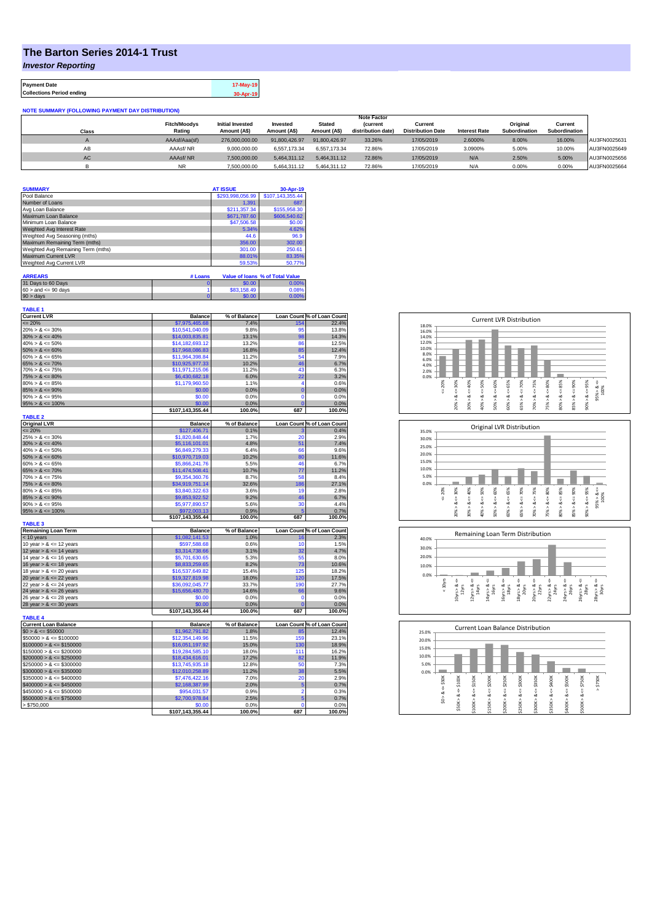## **The Barton Series 2014-1 Trust**

*Investor Reporting*

**Payment Date 17-May-19 Collections Period ending 30-Apr-19**

| <b>NOTE SUMMARY (FOLLOWING PAYMENT DAY DISTRIBUTION)</b> |                     |                         |               |               |                    |                          |                      |               |               |              |
|----------------------------------------------------------|---------------------|-------------------------|---------------|---------------|--------------------|--------------------------|----------------------|---------------|---------------|--------------|
|                                                          | <b>Note Factor</b>  |                         |               |               |                    |                          |                      |               |               |              |
|                                                          | <b>Fitch/Moodys</b> | <b>Initial Invested</b> | Invested      | <b>Stated</b> | <b>Current</b>     | Current                  |                      | Original      | Current       |              |
| Class                                                    | Rating              | Amount (A\$)            | Amount (A\$)  | Amount (A\$)  | distribution date) | <b>Distribution Date</b> | <b>Interest Rate</b> | Subordination | Subordination |              |
|                                                          | AAAsf/Aaa(sf)       | 276,000,000,00          | 91.800.426.97 | 91.800.426.97 | 33.26%             | 17/05/2019               | 2.6000%              | 8.00%         | 16.00%        | AU3FN0025631 |
| AB                                                       | AAAsf/NR            | 9.000.000.00            | 6.557.173.34  | 6.557.173.34  | 72.86%             | 17/05/2019               | 3.0900%              | 5.00%         | 10.00%        | AU3FN0025649 |
| AC                                                       | AAAsf/NR            | 7,500,000.00            | 5.464.311.12  | 5.464.311.12  | 72.86%             | 17/05/2019               | N/A                  | 2.50%         | 5.00%         | AU3FN0025656 |
|                                                          | <b>NR</b>           | 7.500.000.00            | 5.464.311.12  | 5.464.311.12  | 72.86%             | 17/05/2019               | N/A                  | 0.00%         | 0.00%         | AU3FN0025664 |

| <b>SUMMARY</b>                     |         | <b>AT ISSUE</b>  | 30-Apr-19                       |
|------------------------------------|---------|------------------|---------------------------------|
| Pool Balance                       |         | \$293,998,056.99 | \$107,143,355.44                |
| Number of Loans                    |         | 1.391            | 687                             |
| Avg Loan Balance                   |         | \$211,357.34     | \$155,958.30                    |
| Maximum Loan Balance               |         | \$671,787.60     | \$606,540.62                    |
| Minimum Loan Balance               |         | \$47,506.58      | \$0.00                          |
| Weighted Avg Interest Rate         |         | 5.34%            | 4.62%                           |
| Weighted Avg Seasoning (mths)      |         | 44.6             | 96.9                            |
| Maximum Remaining Term (mths)      |         | 356.00           | 302.00                          |
| Weighted Avg Remaining Term (mths) |         | 301.00           | 250.61                          |
| Maximum Current LVR                |         | 88.01%           | 83.35%                          |
| Weighted Avg Current LVR           |         | 59.53%           | 50.77%                          |
| <b>ARREARS</b>                     | # Loans |                  | Value of Ioans % of Total Value |

| 31 Days to 60 Days        | \$0.00      | 0.00%    |
|---------------------------|-------------|----------|
| $60 >$ and $\leq 90$ days | \$83,158.49 | 0.08%    |
| $90 >$ days               | \$0.00      | $0.00\%$ |

| <b>TABLE 1</b><br><b>Current LVR</b> | <b>Balance</b>   | % of Balance   | Loan Count % of Loan Count |                      |
|--------------------------------------|------------------|----------------|----------------------------|----------------------|
| $\leq$ 20%                           | \$7,975,465.68   | 7.4%           | 154                        | 22.4%                |
| $20\% > 8 \le 30\%$                  | \$10.541.040.09  | 9.8%           | 95                         | 13.8%                |
| $30\% > 8 \le 40\%$                  | \$14,003,835.81  | 13.1%          | 98                         | 14.3%                |
| $40\% > 8 \le 50\%$                  | \$14,182,693.12  | 13.2%          | 86                         | 12.5%                |
| $50\% > 8 \le 60\%$                  | \$17,968,086.83  | 16.8%          | 85                         | 12.4%                |
| $60\% > 8 \le 65\%$                  | \$11,964,398.84  | 11.2%          | 54                         | 7.9%                 |
| $65\% > 8 \le 70\%$                  | \$10,925,977.33  | 10.2%          | 46                         | 6.7%                 |
| $70\% > 8 \le 75\%$                  | \$11,971,215.06  | 11.2%          | 43                         | 6.3%                 |
| $75\% > 8 \le 80\%$                  | \$6,430,682.18   | 6.0%           | 22                         | 3.2%                 |
| $80\% > 8 \le 85\%$                  | \$1,179,960.50   | 1.1%           | Δ                          | 0.6%                 |
| $85\% > 8 \le 90\%$                  | \$0.00           | 0.0%           | $\bf{0}$                   | 0.0%                 |
| $90\% > 8 \le 95\%$                  | \$0.00           | 0.0%           | $\mathbf 0$                | 0.0%                 |
| $95\% > 8 \le 100\%$                 | \$0.00           | 0.0%           |                            | 0.0%                 |
|                                      | \$107,143,355.44 | 100.0%         | 687                        | 100.0%               |
| <b>TABLE 2</b>                       |                  |                |                            |                      |
| <b>Original LVR</b>                  | <b>Balance</b>   | % of Balance   | Loan Count % of Loan Count |                      |
| $= 20%$                              | \$127,406.71     | 0.1%           |                            | 0.4%                 |
| $25\% > 8 \le 30\%$                  | \$1.820.848.44   | 1.7%           | 20                         | 2.9%                 |
| $30\% > 8 \le 40\%$                  | \$5,116,101.01   | 4.8%           | 51                         | 7.4%                 |
| $40\% > 8 \le 50\%$                  | \$6,849,279.33   | 6.4%           | 66                         | 9.6%                 |
| $50\% > 8 \le 60\%$                  | \$10,970,719.03  | 10.2%          | 80                         | 11.6%                |
| $60\% > 8 \le 65\%$                  | \$5,866,241.76   | 5.5%           | 46                         | 6.7%                 |
| $65\% > 8 \le 70\%$                  | \$11,474,508.41  | 10.7%          | 77                         | 11.2%                |
| $70\% > 8 \le 75\%$                  | \$9,354,360.76   | 8.7%           | 58                         | 8.4%                 |
| $75\% > 8 \le 80\%$                  | \$34,919,751.14  | 32.6%          | 186                        | 27.1%                |
| $80\% > 8 \le 85\%$                  | \$3,840,322.63   | 3.6%           | 19                         | 2.8%                 |
| $85\% > 8 \le 90\%$                  | \$9,853,922.52   | 9.2%           | 46                         | 6.7%                 |
| $90\% > 8 \le 95\%$                  | \$5,977,890.57   | 5.6%           | 30                         | 4.4%                 |
| $95\% > 8 \le 100\%$                 | \$972,003.13     | 0.9%           |                            | 0.7%                 |
|                                      | \$107,143,355.44 | 100.0%         | 687                        | 100.0%               |
| <b>TABLE 3</b>                       |                  |                |                            |                      |
| <b>Remaining Loan Term</b>           | <b>Balance</b>   | % of Balance   | Loan Count % of Loan Count |                      |
| < 10 years                           | \$1,082,141.53   | 1.0%           | 16                         | 2.3%                 |
| 10 year $> 8 \le 12$ years           | \$597,588.68     | 0.6%           | 10                         | 1.5%                 |
| 12 year $> 8 \le 14$ years           | \$3,314,738.66   | 3.1%           | 32                         | 4.7%                 |
| 14 year $> 8 \le 16$ years           | \$5,701,630.65   | 5.3%           | 55                         | 8.0%                 |
| 16 year $> 8 \le 18$ years           | \$8,833,259.65   | 8.2%           | 73                         | 10.6%                |
| 18 year $> 8 \le 20$ years           | \$16,537,649.82  | 15.4%          | 125                        | 18.2%                |
| 20 year $> 8 \le 22$ years           | \$19,327,819.98  | 18.0%          | 120                        | 17.5%                |
| 22 year $> 8 \le 24$ years           | \$36,092,045.77  | 33.7%          | 190                        | 27.7%                |
| 24 year $> 8 \le 26$ years           | \$15,656,480.70  | 14.6%          | 66                         | 9.6%                 |
| 26 year $> 8 \le 28$ years           | \$0.00           | 0.0%           | n                          | 0.0%                 |
| 28 year $> 8 \le 30$ years           | \$0.00           | 0.0%           | O                          | $0.0\%$              |
|                                      | \$107,143,355.44 | 100.0%         | 687                        | 100.0%               |
| <b>TABLE 4</b>                       |                  |                |                            |                      |
| <b>Current Loan Balance</b>          | <b>Balance</b>   | % of Balance   | Loan Count % of Loan Count |                      |
| $$0 > 8 \le $50000$                  | \$1,962,791.82   | 1.8%           | 85                         | 12.4%                |
| $$50000 > 8 \le $100000$             | \$12,354,149.96  | 11.5%          | 159                        | 23.1%                |
| $$100000 > 8 \leq $150000$           | \$16,051,197.92  | 15.0%          | 130                        | 18.9%                |
| $$150000 > 8 \leq $200000$           | \$19,284,585.10  | 18.0%          | 111                        | 16.2%                |
| $$200000 > 8 \leq $250000$           | \$18,434,616.01  | 17.2%          | 82                         | 11.9%                |
| $$250000 > 8 \leq $300000$           | \$13,745,935.18  | 12.8%          | 50                         | 7.3%                 |
| $$300000 > 8 \leq $350000$           | \$12,010,258.89  | 11.2%          | 38                         | 5.5%                 |
| $$350000 > 8 \le $400000$            | \$7,476,422.16   | 7.0%           | 20                         | 2.9%                 |
| $$400000 > 8 \le $450000$            | \$2,168,387.99   | 2.0%           | 5                          | 0.7%                 |
|                                      |                  |                |                            |                      |
| $$450000 > 8 \le $500000$            | \$954,031.57     | 0.9%           | 2                          |                      |
| $$500000 > 8 \le $750000$            | \$2,700,978.84   | 2.5%           | 5                          |                      |
| > \$750,000                          | \$0.00           | 0.0%<br>100.0% | $\Omega$                   | 0.3%<br>0.7%<br>0.0% |







| 25.0% |        |        |        |             |        | Current Loan Balance Distribution |        |        |        |         |        |
|-------|--------|--------|--------|-------------|--------|-----------------------------------|--------|--------|--------|---------|--------|
| 20.0% |        |        |        |             |        |                                   |        |        |        |         |        |
| 15.0% |        |        |        |             |        |                                   |        |        |        |         |        |
| 10.0% |        |        |        |             |        |                                   |        |        |        |         |        |
| 5.0%  |        |        |        |             |        |                                   |        |        |        |         |        |
| 0.0%  |        |        |        |             |        |                                   |        |        |        |         |        |
|       | \$50K  | \$100K | \$150K | $4 = $200K$ | \$250K | \$300K                            | \$350K | \$400K | \$500K | \$750K  | \$750K |
|       | ő      | ő      | ű      |             | ű      | ű                                 | ű      | ű      |        | V       | Λ      |
|       | ∞<br>٨ | ಹ      | œ      | œ           | œ      | ಜ                                 | œ      | ∞      | œ      | ∞       |        |
|       | S.     | \$50K> | Λ      | \$150K>     | Λ      | \$250K>                           |        | \$350K |        | \$500K> |        |
|       |        |        | \$100K |             | \$200K |                                   | \$300K |        | \$400K |         |        |